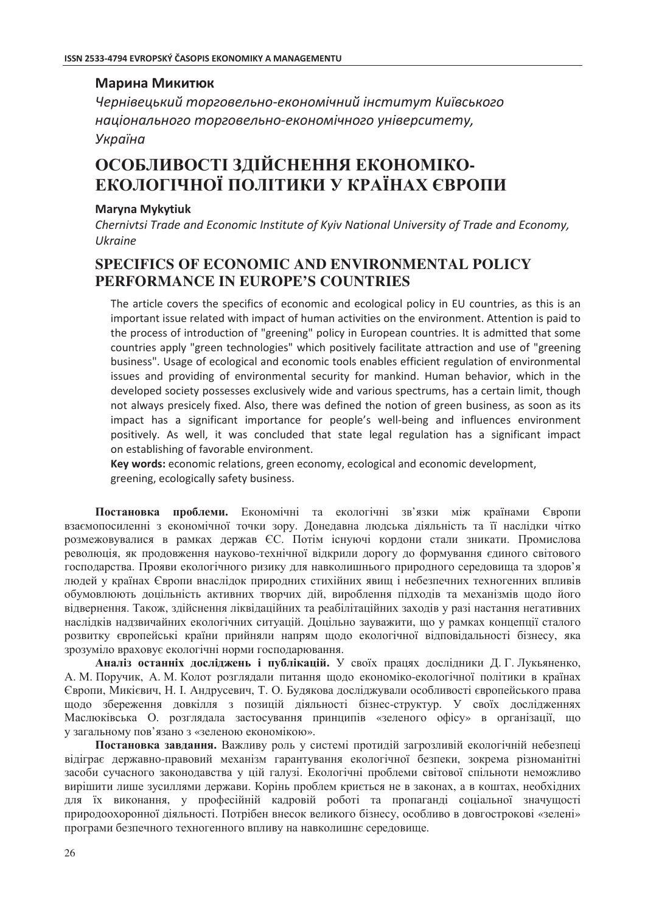### Марина Микитюк

Чернівецький торговельно-економічний інститут Київського національного торговельно-економічного університету, Україна

# ОСОБЛИВОСТІ ЗДІЙСНЕННЯ ЕКОНОМІКО-ЕКОЛОГІЧНОЇ ПОЛІТИКИ У КРАЇНАХ ЄВРОПИ

#### **Maryna Mykytiuk**

Chernivtsi Trade and Economic Institute of Kyiv National University of Trade and Economy, **Ukraine** 

## **SPECIFICS OF ECONOMIC AND ENVIRONMENTAL POLICY** PERFORMANCE IN EUROPE'S COUNTRIES

The article covers the specifics of economic and ecological policy in EU countries, as this is an important issue related with impact of human activities on the environment. Attention is paid to the process of introduction of "greening" policy in European countries. It is admitted that some countries apply "green technologies" which positively facilitate attraction and use of "greening business". Usage of ecological and economic tools enables efficient regulation of environmental issues and providing of environmental security for mankind. Human behavior, which in the developed society possesses exclusively wide and various spectrums, has a certain limit, though not always presicely fixed. Also, there was defined the notion of green business, as soon as its impact has a significant importance for people's well-being and influences environment positively. As well, it was concluded that state legal regulation has a significant impact on establishing of favorable environment.

Key words: economic relations, green economy, ecological and economic development, greening, ecologically safety business.

Постановка проблеми. Економічні та екологічні зв'язки між країнами Європи взаємопосиленні з економічної точки зору. Донедавна людська діяльність та її наслідки чітко розмежовувалися в рамках держав ЄС. Потім існуючі кордони стали зникати. Промислова революція, як проловження науково-технічної вілкрили лорогу ло формування єлиного світового господарства. Прояви екологічного ризику для навколишнього природного середовища та здоров'я людей у країнах Європи внаслідок природних стихійних явищ і небезпечних техногенних впливів обумовлюють доцільність активних творчих дій, вироблення підходів та механізмів щодо його відвернення. Також, здійснення ліквідаційних та реабілітаційних заходів у разі настання негативних наслідків надзвичайних екологічних ситуацій. Доцільно зауважити, що у рамках концепції сталого розвитку європейські країни прийняли напрям щодо екологічної відповідальності бізнесу, яка зрозуміло враховує екологічні норми господарювання.

Аналіз останніх досліджень і публікацій. У своїх працях дослідники Д.Г. Лукьяненко, А. М. Поручик, А. М. Колот розглядали питання щодо економіко-екологічної політики в країнах Європи, Микієвич, Н. І. Андрусевич, Т. О. Будякова досліджували особливості європейського права щодо збереження довкілля з позицій діяльності бізнес-структур. У своїх дослідженнях Маслюківська О. розглядала застосування принципів «зеленого офісу» в організації, що у загальному пов'язано з «зеленою економікою».

Постановка завдання. Важливу роль у системі протидій загрозливій екологічній небезпеці відіграє державно-правовий механізм гарантування екологічної безпеки, зокрема різноманітні засоби сучасного законодавства у цій галузі. Екологічні проблеми світової спільноти неможливо вирішити лише зусиллями держави. Корінь проблем криється не в законах, а в коштах, необхідних для їх виконання, у професійній кадровій роботі та пропаганді соціальної значущості природоохоронної діяльності. Потрібен внесок великого бізнесу, особливо в довгострокові «зелені» програми безпечного техногенного впливу на навколишнє середовище.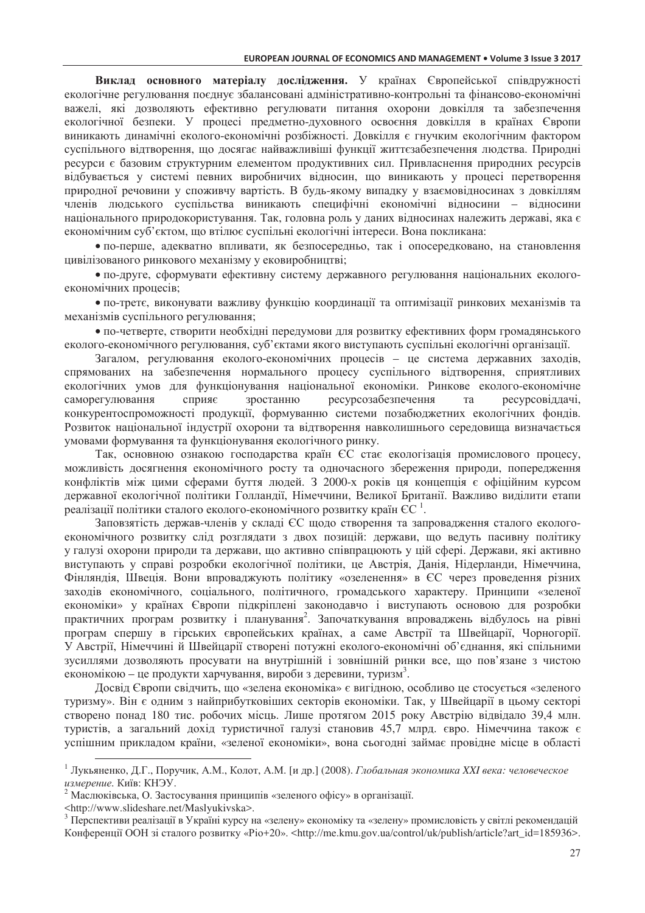Виклад основного матеріалу дослідження. У країнах Європейської співдружності екологічне регулювання поєднує збалансовані адміністративно-контрольні та фінансово-економічні важелі, які дозволяють ефективно регулювати питання охорони довкілля та забезпечення екологічної безпеки. У процесі предметно-духовного освоєння довкілля в країнах Європи виникають динамічні еколого-економічні розбіжності. Довкілля є гнучким екологічним фактором суспільного вілтворення, що лосягає найважливіші функції життєзабезпечення людства. Природні ресурси є базовим структурним елементом продуктивних сил. Привласнення природних ресурсів відбувається у системі певних виробничих відносин, що виникають у процесі перетворення природної речовини у споживчу вартість. В будь-якому випадку у взаємовідносинах з довкіллям членів людського суспільства виникають специфічні економічні відносини - відносини національного природокористування. Так, головна роль у даних відносинах належить державі, яка є економічним суб'єктом, що втілює суспільні екологічні інтереси. Вона покликана:

• по-перше, алекватно впливати, як безпосерелньо, так і опосерелковано, на становлення цивілізованого ринкового механізму у ековиробництві;

• по-друге, сформувати ефективну систему державного регулювання національних екологоекономічних процесів;

• по-третє, виконувати важливу функцію координації та оптимізації ринкових механізмів та механізмів суспільного регулювання;

• по-четверте, створити необхідні передумови для розвитку ефективних форм громадянського еколого-економічного регулювання, суб'єктами якого виступають суспільні екологічні організації.

Загалом, регулювання еколого-економічних процесів - це система державних заходів, спрямованих на забезпечення нормального процесу суспільного відтворення, сприятливих екологічних умов для функціонування національної економіки. Ринкове еколого-економічне саморегулювання сприяє зростанню ресурсозабезпечення ресурсовіллачі. та конкурентоспроможності продукції, формуванню системи позабюджетних екологічних фондів. Розвиток національної індустрії охорони та відтворення навколишнього середовища визначається умовами формування та функціонування екологічного ринку.

Так, основною ознакою господарства країн ЄС стає екологізація промислового процесу, можливість досягнення економічного росту та одночасного збереження природи, попередження конфліктів між цими сферами буття людей. З 2000-х років ця концепція є офіційним курсом лержавної екологічної політики Голландії. Німеччини, Великої Британії. Важливо виділити етапи реалізації політики сталого еколого-економічного розвитку країн ЄС<sup>1</sup>.

Заповзятість держав-членів у складі ЄС щодо створення та запровадження сталого екологоекономічного розвитку слід розглядати з двох позицій: держави, що ведуть пасивну політику у галузі охорони природи та держави, що активно співпрацюють у цій сфері. Держави, які активно виступають у справі розробки екологічної політики, це Австрія, Данія, Нідерланди, Німеччина, Фінляндія, Швеція. Вони впроваджують політику «озеленення» в ЄС через проведення різних заходів економічного, соціального, політичного, громадського характеру. Принципи «зеленої економіки» у країнах Європи пілкріплені законолавчо і виступають основою для розробки практичних програм розвитку і планування<sup>2</sup>. Започаткування впроваджень відбулось на рівні програм спершу в гірських європейських країнах, а саме Австрії та Швейцарії, Чорногорії. У Австрії, Німеччині й Швейцарії створені потужні еколого-економічні об'єднання, які спільними зусиллями дозволяють просувати на внутрішній і зовнішній ринки все, що пов'язане з чистою економікою – це продукти харчування, вироби з деревини, туризм<sup>3</sup>.

Досвід Європи свідчить, що «зелена економіка» є вигідною, особливо це стосується «зеленого туризму». Він є одним з найприбутковіших секторів економіки. Так, у Швейцарії в цьому секторі створено понад 180 тис. робочих місць. Лише протягом 2015 року Австрію відвідало 39,4 млн. туристів, а загальний дохід туристичної галузі становив 45,7 млрд. євро. Німеччина також є успішним прикладом країни, «зеленої економіки», вона сьогодні займає провідне місце в області

<sup>&</sup>lt;sup>1</sup> Лукьяненко, Д.Г., Поручик, А.М., Колот, А.М. [и др.] (2008). Глобальная экономика XXI века: человеческое измерение. Київ: КНЭУ.

<sup>&</sup>lt;sup>2</sup> Маслюківська, О. Застосування принципів «зеленого офісу» в організації.

<sup>&</sup>lt;http://www.slideshare.net/Maslyukivska>.

<sup>&</sup>lt;sup>3</sup> Перспективи реалізації в Україні курсу на «зелену» економіку та «зелену» промисловість у світлі рекомендацій Конференції ООН зі сталого розвитку «Pio+20». <http://me.kmu.gov.ua/control/uk/publish/article?art\_id=185936>.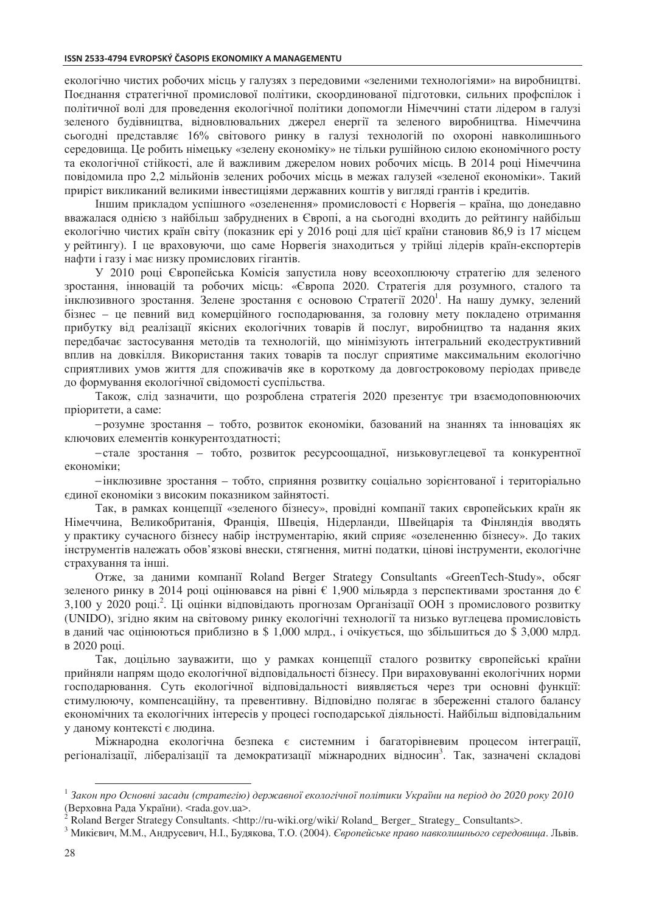екологічно чистих робочих місць у галузях з передовими «зеленими технологіями» на виробництві. Поєднання стратегічної промислової політики, скоординованої підготовки, сильних профспілок і політичної волі для проведення екологічної політики допомогли Німеччині стати лідером в галузі зеленого будівництва, відновлювальних джерел енергії та зеленого виробництва. Німеччина сьогодні представляє 16% світового ринку в галузі технологій по охороні навколишнього середовища. Не робить німеньку «зелену економіку» не тільки рушійною силою економічного росту та екологічної стійкості, але й важливим джерелом нових робочих місць. В 2014 році Німеччина повідомила про 2,2 мільйонів зелених робочих місць в межах галузей «зеленої економіки». Такий приріст викликаний великими інвестиціями державних коштів у вигляді грантів і кредитів.

Іншим прикладом успішного «озеленення» промисловості є Норвегія - країна, що донедавно вважалася однією з найбільш забруднених в Європі, а на сьогодні входить до рейтингу найбільш екологічно чистих країн світу (показник ері у 2016 році для цієї країни становив 86,9 із 17 місцем у рейтингу). І це враховуючи, що саме Норвегія знаходиться у трійці лідерів країн-експортерів нафти і газу і має низку промислових гігантів.

У 2010 році Європейська Комісія запустила нову всеохоплюючу стратегію для зеленого зростання, інновацій та робочих місць: «Європа 2020. Стратегія для розумного, сталого та інклюзивного зростання. Зелене зростання є основою Стратегії 2020<sup>1</sup>. На нашу думку, зелений бізнес - це певний вид комерційного господарювання, за головну мету покладено отримання прибутку від реалізації якісних екологічних товарів й послуг, виробництво та надання яких передбачає застосування методів та технологій, що мінімізують інтегральний екодеструктивний вплив на довкілля. Використання таких товарів та послуг сприятиме максимальним екологічно сприятливих умов життя для споживачів яке в короткому да довгостроковому періодах приведе до формування екологічної свідомості суспільства.

Також, слід зазначити, що розроблена стратегія 2020 презентує три взаємодоповнюючих пріоритети, а саме:

-розумне зростання - тобто, розвиток економіки, базований на знаннях та інноваціях як ключових елементів конкурентоздатності;

-стале зростання - тобто, розвиток ресурсоощадної, низьковуглецевої та конкурентної економіки:

- інклюзивне зростання - тобто, сприяння розвитку соціально зорієнтованої і територіально єлиної економіки з високим показником зайнятості.

Так, в рамках концепції «зеленого бізнесу», провідні компанії таких європейських країн як Німеччина, Великобританія, Франція, Швеція, Нідерланди, Швейцарія та Фінляндія вводять у практику сучасного бізнесу набір інструментарію, який сприяє «озелененню бізнесу». До таких інструментів належать обов'язкові внески, стягнення, митні податки, цінові інструменти, екологічне страхування та інші.

Отже, за даними компанії Roland Berger Strategy Consultants «GreenTech-Study», обсяг зеленого ринку в 2014 році опінювався на рівні  $\epsilon$  1.900 мільярла з перспективами зростання до  $\epsilon$ 3,100 у 2020 році.<sup>2</sup>. Ці оцінки відповідають прогнозам Організації ООН з промислового розвитку (UNIDO), згідно яким на світовому ринку екологічні технології та низько вуглецева промисловість в даний час оцінюються приблизно в \$1,000 млрд., і очікується, що збільшиться до \$3,000 млрд. в 2020 році.

Так, доцільно зауважити, що у рамках концепції сталого розвитку європейські країни прийняли напрям щодо екологічної відповідальності бізнесу. При вираховуванні екологічних норми господарювання. Суть екологічної відповідальності виявляється через три основні функції: стимулюючу, компенсаційну, та превентивну. Відповідно полягає в збереженні сталого балансу економічних та екологічних інтересів у процесі господарської діяльності. Найбільш відповідальним у даному контексті є людина.

Міжнародна екологічна безпека є системним і багаторівневим процесом інтеграції, регіоналізації, лібералізації та демократизації міжнародних відносин<sup>3</sup>. Так, зазначені складові

<sup>&</sup>lt;sup>1</sup> Закон про Основні засади (стратегію) державної екологічної політики України на період до 2020 року 2010 (Верховна Рада України). <rada.gov.ua>.

<sup>&</sup>lt;sup>2</sup> Roland Berger Strategy Consultants. <http://ru-wiki.org/wiki/ Roland Berger Strategy Consultants>.

<sup>&</sup>lt;sup>3</sup> Микієвич, М.М., Андрусевич, Н.І., Будякова, Т.О. (2004). Свропейське право навколишнього середовища. Львів.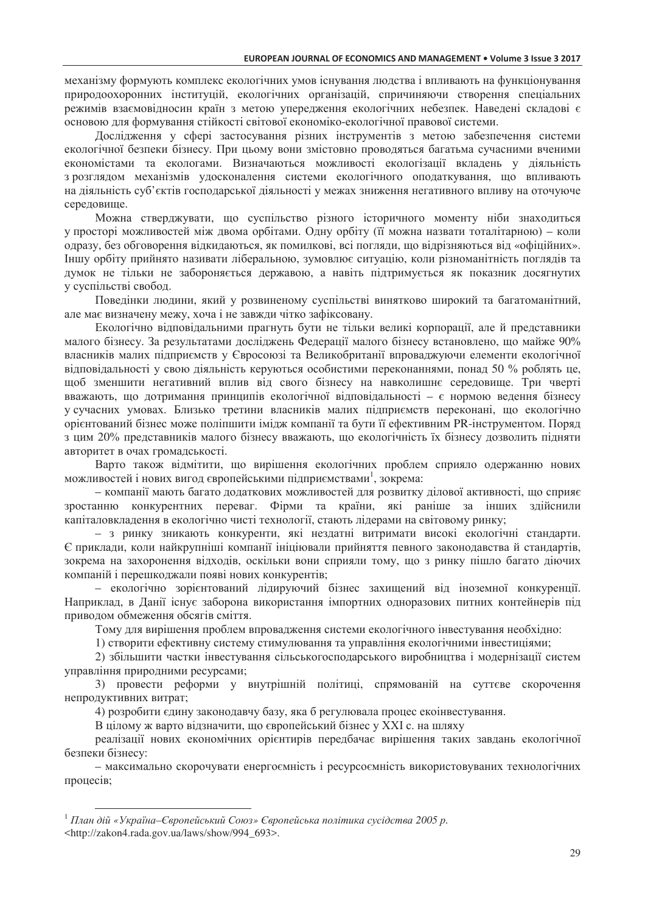механізму формують комплекс екологічних умов існування людства і впливають на функціонування природоохоронних інституцій, екологічних організацій, спричиняючи створення спеціальних режимів взаємовідносин країн з метою упередження екологічних небезпек. Наведені складові є основою для формування стійкості світової економіко-екологічної правової системи.

Дослідження у сфері застосування різних інструментів з метою забезпечення системи екологічної безпеки бізнесу. При пьому вони змістовно проволяться багатьма сучасними вченими економістами та екологами. Визначаються можливості екологізації вкладень у діяльність з розглядом механізмів удосконалення системи екологічного оподаткування, що впливають на діяльність суб'єктів господарської діяльності у межах зниження негативного впливу на оточуюче середовище.

Можна стверджувати, що суспільство різного історичного моменту ніби знаходиться у просторі можливостей між двома орбітами. Одну орбіту (її можна назвати тоталітарною) - коли одразу, без обговорення відкидаються, як помилкові, всі погляди, що відрізняються від «офіційних». Іншу орбіту прийнято називати ліберальною, зумовлює ситуацію, коли різноманітність поглядів та думок не тільки не забороняється державою, а навіть підтримується як показник досягнутих у суспільстві свобод.

Поведінки людини, який у розвиненому суспільстві винятково широкий та багатоманітний, але має визначену межу, хоча і не завжди чітко зафіксовану.

Екологічно відповідальними прагнуть бути не тільки великі корпорації, але й представники малого бізнесу. За результатами досліджень Федерації малого бізнесу встановлено, що майже 90% власників малих підприємств у Євросоюзі та Великобританії впроваджуючи елементи екологічної відповідальності у свою діяльність керуються особистими переконаннями, понад 50 % роблять це, щоб зменшити негативний вплив від свого бізнесу на навколишнє середовище. Три чверті вважають, що дотримання принципів екологічної відповідальності - є нормою ведення бізнесу у сучасних умовах. Близько третини власників малих підприємств переконані, що екологічно орієнтований бізнес може поліпшити імідж компанії та бути її ефективним PR-інструментом. Поряд з цим 20% представників малого бізнесу вважають, що екологічність їх бізнесу дозволить підняти авторитет в очах громадськості.

Варто також відмітити, що вирішення екологічних проблем сприяло одержанню нових можливостей і нових вигод європейськими підприємствами<sup>1</sup>, зокрема:

- компанії мають багато додаткових можливостей для розвитку ділової активності, що сприяє зростанню конкурентних переваг. Фірми та країни, які раніше за інших здійснили капіталовкладення в екологічно чисті технології, стають лідерами на світовому ринку;

- з ринку зникають конкуренти, які нездатні витримати високі екологічні стандарти. Є приклади, коли найкрупніші компанії ініціювали прийняття певного законодавства й стандартів, зокрема на захоронення відходів, оскільки вони сприяли тому, що з ринку пішло багато діючих компаній і перешкоджали появі нових конкурентів;

- екологічно зорієнтований лідируючий бізнес захищений від іноземної конкуренції. Наприклад, в Данії існує заборона використання імпортних одноразових питних контейнерів під приводом обмеження обсягів сміття.

Тому для вирішення проблем впровадження системи екологічного інвестування необхідно:

1) створити ефективну систему стимулювання та управління екологічними інвестиціями;

2) збільшити частки інвестування сільськогосподарського виробництва і модернізації систем управління природними ресурсами;

3) провести реформи у внутрішній політиці, спрямованій на суттєве скорочення непродуктивних витрат;

4) розробити єдину законодавчу базу, яка б регулювала процес еконвестування.

В цілому ж варто відзначити, що європейський бізнес у XXI с. на шляху

реалізації нових економічних орієнтирів передбачає вирішення таких завдань екологічної безпеки бізнесу:

- максимально скорочувати енергоємність і ресурсоємність використовуваних технологічних процесів;

<sup>&</sup>lt;sup>1</sup> План дій «Україна–Європейський Союз» Європейська політика сусідства 2005 р. <http://zakon4.rada.gov.ua/laws/show/994\_693>.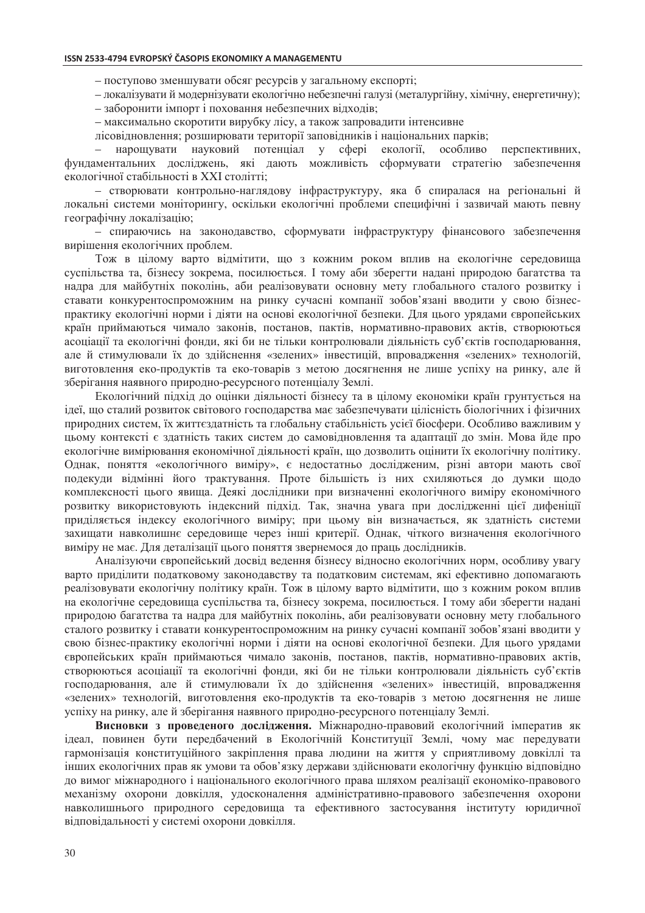- поступово зменшувати обсяг ресурсів у загальному експорті;

- локалізувати й модернізувати екологічно небезпечні галузі (металургійну, хімічну, енергетичну);

- заборонити імпорт і поховання небезпечних відходів;

- максимально скоротити вирубку лісу, а також запровадити інтенсивне

лісовідновлення; розширювати території заповідників і національних парків;

нарошувати науковий потенціал у сфері екології. особливо перспективних.  $\equiv$ фундаментальних досліджень, які дають можливість сформувати стратегію забезпечення екологічної стабільності в XXI столітті;

- створювати контрольно-наглядову інфраструктуру, яка б спиралася на регіональні й локальні системи моніторингу, оскільки екологічні проблеми специфічні і зазвичай мають певну географічну локалізацію;

- спираючись на законодавство, сформувати інфраструктуру фінансового забезпечення вирішення екологічних проблем.

Тож в цілому варто відмітити, що з кожним роком вплив на екологічне середовища суспільства та, бізнесу зокрема, посилюється. І тому аби зберегти надані природою багатства та надра для майбутніх поколінь, аби реалізовувати основну мету глобального сталого розвитку і ставати конкурентоспроможним на ринку сучасні компанії зобов'язані вводити у свою бізнеспрактику екологічні норми і діяти на основі екологічної безпеки. Для цього урядами європейських країн приймаються чимало законів, постанов, пактів, нормативно-правових актів, створюються асоціації та екологічні фонди, які би не тільки контролювали діяльність суб'єктів господарювання, але й стимулювали їх до здійснення «зелених» інвестицій, впровадження «зелених» технологій, виготовлення еко-продуктів та еко-товарів з метою досягнення не лише успіху на ринку, але й зберігання наявного природно-ресурсного потенціалу Землі.

Екологічний підхід до оцінки діяльності бізнесу та в цілому економіки країн грунтується на ідеї, що сталий розвиток світового господарства має забезпечувати цілісність біологічних і фізичних природних систем, їх життєздатність та глобальну стабільність усієї біосфери. Особливо важливим у цьому контексті є здатність таких систем до самовідновлення та адаптації до змін. Мова йде про екологічне вимірювання економічної діяльності країн, що дозволить оцінити їх екологічну політику. Однак, поняття «екологічного виміру», є недостатньо дослідженим, різні автори мають свої подекуди відмінні його трактування. Проте більшість із них схиляються до думки щодо комплексності цього явища. Деякі дослідники при визначенні екологічного виміру економічного розвитку використовують індексний підхід. Так, значна увага при дослідженні цієї дифеніції приділяється індексу екологічного виміру; при цьому він визначається, як здатність системи захищати навколишнє середовище через інші критерії. Однак, чіткого визначення екологічного виміру не має. Для деталізації цього поняття звернемося до праць дослідників.

Аналізуючи європейський досвід ведення бізнесу відносно екологічних норм, особливу увагу варто приділити податковому законодавству та податковим системам, які ефективно допомагають реалізовувати екологічну політику країн. Тож в цілому варто відмітити, що з кожним роком вплив на екологічне середовища суспільства та, бізнесу зокрема, посилюється. І тому аби зберегти надані природою багатства та надра для майбутніх поколінь, аби реалізовувати основну мету глобального сталого розвитку і ставати конкурентоспроможним на ринку сучасні компанії зобов'язані вводити у свою бізнес-практику екологічні норми і діяти на основі екологічної безпеки. Для цього урядами європейських країн приймаються чимало законів, постанов, пактів, нормативно-правових актів, створюються асоціації та екологічні фонди, які би не тільки контролювали діяльність суб'єктів господарювання, але й стимулювали їх до здійснення «зелених» інвестицій, впровадження «зелених» технологій, виготовлення еко-продуктів та еко-товарів з метою досягнення не лише успіху на ринку, але й зберігання наявного природно-ресурсного потенціалу Землі.

Висновки з проведеного дослідження. Міжнародно-правовий екологічний імператив як ідеал, повинен бути передбачений в Екологічній Конституції Землі, чому має передувати гармонізація конституційного закріплення права людини на життя у сприятливому довкіллі та інших екологічних прав як умови та обов'язку держави здійснювати екологічну функцію відповідно до вимог міжнародного і національного екологічного права шляхом реалізації економіко-правового механізму охорони ловкілля, удосконалення адміністративно-правового забезпечення охорони навколишнього природного середовища та ефективного застосування інституту юридичної відповідальності у системі охорони довкілля.